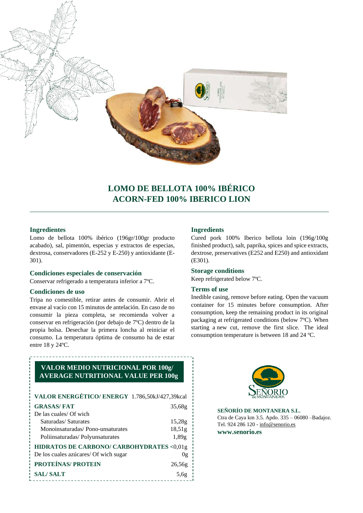

# **LOMO DE BELLOTA 100% IBÉRICO ACORN-FED 100% IBERICO LION**

# **Ingredientes**

Lomo de bellota 100% ibérico (196gr/100gr producto acabado), sal, pimentón, especias y extractos de especias, dextrosa, conservadores (E-252 y E-250) y antioxidante (E-301).

### **Condiciones especiales de conservación**

Conservar refrigerado a temperatura inferior a 7ºC.

### **Condiciones de uso**

Tripa no comestible, retirar antes de consumir. Abrir el envase al vacío con 15 minutos de antelación. En caso de no consumir la pieza completa, se recomienda volver a conservar en refrigeración (por debajo de 7ºC) dentro de la propia bolsa. Desechar la primera loncha al reiniciar el consumo. La temperatura óptima de consumo ha de estar entre 18 y 24ºC.

# **Ingredients**

Cured pork 100% Iberico bellota loin (196g/100g finished product), salt, paprika, spices and spice extracts, dextrose, preservatives (E252 and E250) and antioxidant (E301).

#### **Storage conditions**

Keep refrigerated below 7ºC.

### **Terms of use**

Inedible casing, remove before eating. Open the vacuum container for 15 minutes before consumption. After consumption, keep the remaining product in its original packaging at refrigerated conditions (below 7ºC). When starting a new cut, remove the first slice. The ideal consumption temperature is between 18 and 24 ºC.

# **VALOR MEDIO NUTRICIONAL POR 100g/ AVERAGE NUTRITIONAL VALUE PER 100g**

| VALOR ENERGÉTICO/ ENERGY 1.786,50kJ/427,39kcal |        |
|------------------------------------------------|--------|
| <b>GRASAS/FAT</b>                              | 35,68g |
| De las cuales/ Of wich                         |        |
| Saturadas/Saturates                            | 15,28g |
| Monoinsaturadas/Pono-unsaturates               | 18,51g |
| Poliinsaturadas/Polyunsaturates                | 1,89g  |
| HIDRATOS DE CARBONO/ CARBOHYDRATES <0,01g      |        |
| De los cuales azúcares/ Of wich sugar          | 0g     |
| PROTEÍNAS/ PROTEIN                             | 26,56g |
| <b>SAL/SALT</b>                                | 5.6g   |



**SEÑORÍO DE MONTANERA S.L.**  Ctra de Caya km 3.5. Apdo. 335 – 06080 –Badajoz. Tel. 924 286 120 - [info@senorio.es](mailto:info@senorio.es) **www.senorio.es**